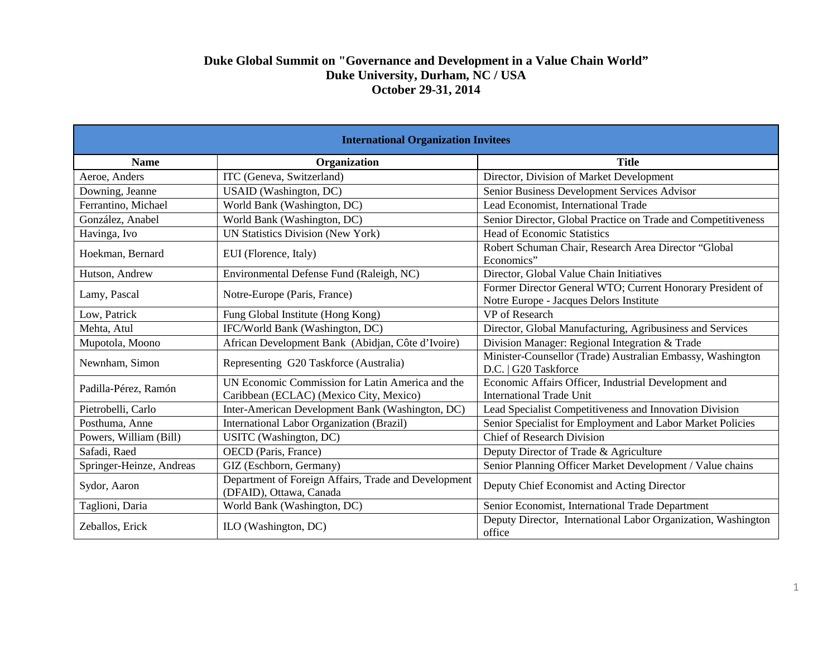## **Duke Global Summit on "Governance and Development in a Value Chain World" Duke University, Durham, NC / USA October 29-31, 2014**

| <b>International Organization Invitees</b> |                                                                                             |                                                                                                       |
|--------------------------------------------|---------------------------------------------------------------------------------------------|-------------------------------------------------------------------------------------------------------|
| <b>Name</b>                                | Organization                                                                                | <b>Title</b>                                                                                          |
| Aeroe, Anders                              | ITC (Geneva, Switzerland)                                                                   | Director, Division of Market Development                                                              |
| Downing, Jeanne                            | USAID (Washington, DC)                                                                      | Senior Business Development Services Advisor                                                          |
| Ferrantino, Michael                        | World Bank (Washington, DC)                                                                 | Lead Economist, International Trade                                                                   |
| González, Anabel                           | World Bank (Washington, DC)                                                                 | Senior Director, Global Practice on Trade and Competitiveness                                         |
| Havinga, Ivo                               | <b>UN Statistics Division (New York)</b>                                                    | <b>Head of Economic Statistics</b>                                                                    |
| Hoekman, Bernard                           | EUI (Florence, Italy)                                                                       | Robert Schuman Chair, Research Area Director "Global<br>Economics"                                    |
| Hutson, Andrew                             | Environmental Defense Fund (Raleigh, NC)                                                    | Director, Global Value Chain Initiatives                                                              |
| Lamy, Pascal                               | Notre-Europe (Paris, France)                                                                | Former Director General WTO; Current Honorary President of<br>Notre Europe - Jacques Delors Institute |
| Low, Patrick                               | Fung Global Institute (Hong Kong)                                                           | VP of Research                                                                                        |
| Mehta, Atul                                | IFC/World Bank (Washington, DC)                                                             | Director, Global Manufacturing, Agribusiness and Services                                             |
| Mupotola, Moono                            | African Development Bank (Abidjan, Côte d'Ivoire)                                           | Division Manager: Regional Integration & Trade                                                        |
| Newnham, Simon                             | Representing G20 Taskforce (Australia)                                                      | Minister-Counsellor (Trade) Australian Embassy, Washington<br>D.C.   G20 Taskforce                    |
| Padilla-Pérez, Ramón                       | UN Economic Commission for Latin America and the<br>Caribbean (ECLAC) (Mexico City, Mexico) | Economic Affairs Officer, Industrial Development and<br><b>International Trade Unit</b>               |
| Pietrobelli, Carlo                         | Inter-American Development Bank (Washington, DC)                                            | Lead Specialist Competitiveness and Innovation Division                                               |
| Posthuma, Anne                             | International Labor Organization (Brazil)                                                   | Senior Specialist for Employment and Labor Market Policies                                            |
| Powers, William (Bill)                     | USITC (Washington, DC)                                                                      | <b>Chief of Research Division</b>                                                                     |
| Safadi, Raed                               | OECD (Paris, France)                                                                        | Deputy Director of Trade & Agriculture                                                                |
| Springer-Heinze, Andreas                   | GIZ (Eschborn, Germany)                                                                     | Senior Planning Officer Market Development / Value chains                                             |
| Sydor, Aaron                               | Department of Foreign Affairs, Trade and Development<br>(DFAID), Ottawa, Canada             | Deputy Chief Economist and Acting Director                                                            |
| Taglioni, Daria                            | World Bank (Washington, DC)                                                                 | Senior Economist, International Trade Department                                                      |
| Zeballos, Erick                            | ILO (Washington, DC)                                                                        | Deputy Director, International Labor Organization, Washington<br>office                               |